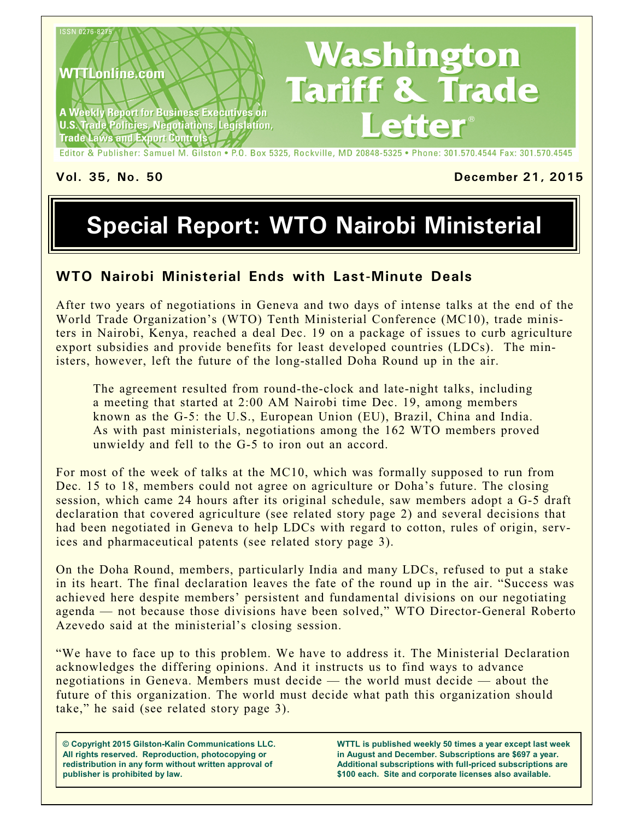

#### **Vol. 35, No. 50 December 21, 2015**

# **Special Report: WTO Nairobi Ministerial**

#### **WTO Nairobi Ministerial Ends with Last-Minute Deals**

After two years of negotiations in Geneva and two days of intense talks at the end of the World Trade Organization's (WTO) Tenth Ministerial Conference (MC10), trade ministers in Nairobi, Kenya, reached a deal Dec. 19 on a package of issues to curb agriculture export subsidies and provide benefits for least developed countries (LDCs). The ministers, however, left the future of the long-stalled Doha Round up in the air.

The agreement resulted from round-the-clock and late-night talks, including a meeting that started at 2:00 AM Nairobi time Dec. 19, among members known as the G-5: the U.S., European Union (EU), Brazil, China and India. As with past ministerials, negotiations among the 162 WTO members proved unwieldy and fell to the G-5 to iron out an accord.

For most of the week of talks at the MC10, which was formally supposed to run from Dec. 15 to 18, members could not agree on agriculture or Doha's future. The closing session, which came 24 hours after its original schedule, saw members adopt a G-5 draft declaration that covered agriculture (see related story page 2) and several decisions that had been negotiated in Geneva to help LDCs with regard to cotton, rules of origin, services and pharmaceutical patents (see related story page 3).

On the Doha Round, members, particularly India and many LDCs, refused to put a stake in its heart. The final declaration leaves the fate of the round up in the air. "Success was achieved here despite members' persistent and fundamental divisions on our negotiating agenda — not because those divisions have been solved," WTO Director-General Roberto Azevedo said at the ministerial's closing session.

"We have to face up to this problem. We have to address it. The Ministerial Declaration acknowledges the differing opinions. And it instructs us to find ways to advance negotiations in Geneva. Members must decide — the world must decide — about the future of this organization. The world must decide what path this organization should take," he said (see related story page 3).

**© Copyright 2015 Gilston-Kalin Communications LLC. All rights reserved. Reproduction, photocopying or redistribution in any form without written approval of publisher is prohibited by law.** 

**WTTL is published weekly 50 times a year except last week in August and December. Subscriptions are \$697 a year. Additional subscriptions with full-priced subscriptions are \$100 each. Site and corporate licenses also available.**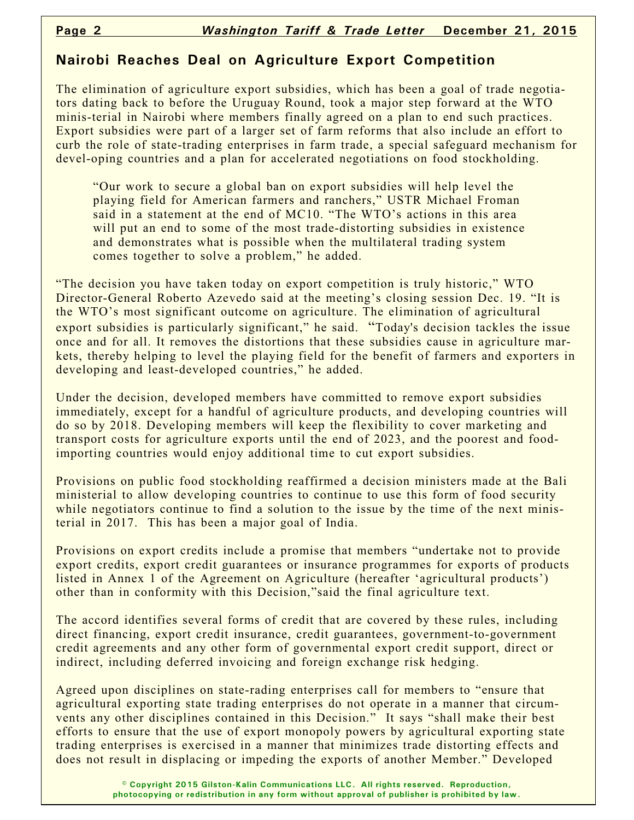#### **Nairobi Reaches Deal on Agriculture Export Competition**

The elimination of agriculture export subsidies, which has been a goal of trade negotiators dating back to before the Uruguay Round, took a major step forward at the WTO minis-terial in Nairobi where members finally agreed on a plan to end such practices. Export subsidies were part of a larger set of farm reforms that also include an effort to curb the role of state-trading enterprises in farm trade, a special safeguard mechanism for devel-oping countries and a plan for accelerated negotiations on food stockholding.

"Our work to secure a global ban on export subsidies will help level the playing field for American farmers and ranchers," USTR Michael Froman said in a statement at the end of MC10. "The WTO's actions in this area will put an end to some of the most trade-distorting subsidies in existence and demonstrates what is possible when the multilateral trading system comes together to solve a problem," he added.

"The decision you have taken today on export competition is truly historic," WTO Director-General Roberto Azevedo said at the meeting's closing session Dec. 19. "It is the WTO's most significant outcome on agriculture. The elimination of agricultural export subsidies is particularly significant," he said. "Today's decision tackles the issue once and for all. It removes the distortions that these subsidies cause in agriculture markets, thereby helping to level the playing field for the benefit of farmers and exporters in developing and least-developed countries," he added.

Under the decision, developed members have committed to remove export subsidies immediately, except for a handful of agriculture products, and developing countries will do so by 2018. Developing members will keep the flexibility to cover marketing and transport costs for agriculture exports until the end of 2023, and the poorest and foodimporting countries would enjoy additional time to cut export subsidies.

Provisions on public food stockholding reaffirmed a decision ministers made at the Bali ministerial to allow developing countries to continue to use this form of food security while negotiators continue to find a solution to the issue by the time of the next ministerial in 2017. This has been a major goal of India.

Provisions on export credits include a promise that members "undertake not to provide export credits, export credit guarantees or insurance programmes for exports of products listed in Annex 1 of the Agreement on Agriculture (hereafter 'agricultural products') other than in conformity with this Decision,"said the final agriculture text.

The accord identifies several forms of credit that are covered by these rules, including direct financing, export credit insurance, credit guarantees, government-to-government credit agreements and any other form of governmental export credit support, direct or indirect, including deferred invoicing and foreign exchange risk hedging.

Agreed upon disciplines on state-rading enterprises call for members to "ensure that agricultural exporting state trading enterprises do not operate in a manner that circumvents any other disciplines contained in this Decision." It says "shall make their best efforts to ensure that the use of export monopoly powers by agricultural exporting state trading enterprises is exercised in a manner that minimizes trade distorting effects and does not result in displacing or impeding the exports of another Member." Developed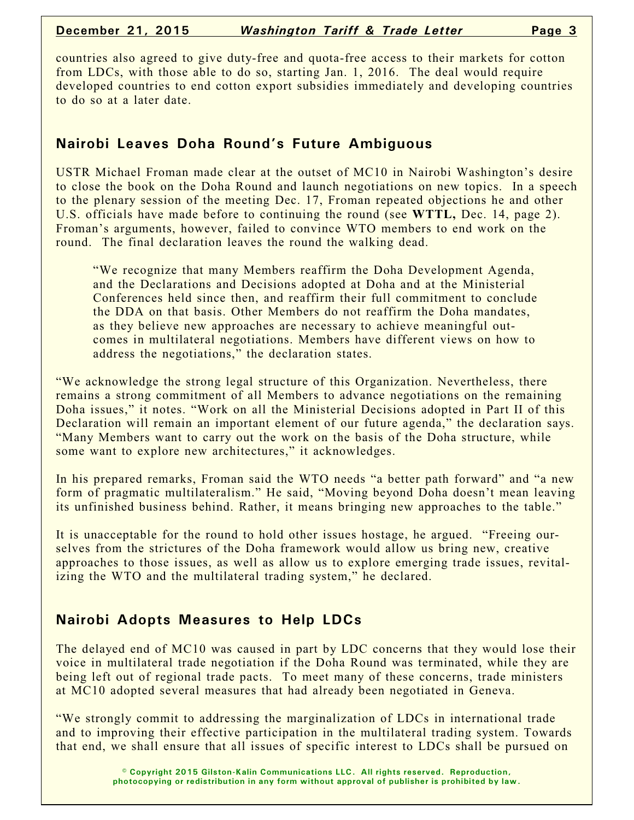countries also agreed to give duty-free and quota-free access to their markets for cotton from LDCs, with those able to do so, starting Jan. 1, 2016. The deal would require developed countries to end cotton export subsidies immediately and developing countries to do so at a later date.

# **Nairobi Leaves Doha Round's Future Ambiguous**

USTR Michael Froman made clear at the outset of MC10 in Nairobi Washington's desire to close the book on the Doha Round and launch negotiations on new topics. In a speech to the plenary session of the meeting Dec. 17, Froman repeated objections he and other U.S. officials have made before to continuing the round (see **WTTL,** Dec. 14, page 2). Froman's arguments, however, failed to convince WTO members to end work on the round. The final declaration leaves the round the walking dead.

"We recognize that many Members reaffirm the Doha Development Agenda, and the Declarations and Decisions adopted at Doha and at the Ministerial Conferences held since then, and reaffirm their full commitment to conclude the DDA on that basis. Other Members do not reaffirm the Doha mandates, as they believe new approaches are necessary to achieve meaningful outcomes in multilateral negotiations. Members have different views on how to address the negotiations," the declaration states.

"We acknowledge the strong legal structure of this Organization. Nevertheless, there remains a strong commitment of all Members to advance negotiations on the remaining Doha issues," it notes. "Work on all the Ministerial Decisions adopted in Part II of this Declaration will remain an important element of our future agenda," the declaration says. "Many Members want to carry out the work on the basis of the Doha structure, while some want to explore new architectures," it acknowledges.

In his prepared remarks, Froman said the WTO needs "a better path forward" and "a new form of pragmatic multilateralism." He said, "Moving beyond Doha doesn't mean leaving its unfinished business behind. Rather, it means bringing new approaches to the table."

It is unacceptable for the round to hold other issues hostage, he argued. "Freeing ourselves from the strictures of the Doha framework would allow us bring new, creative approaches to those issues, as well as allow us to explore emerging trade issues, revitalizing the WTO and the multilateral trading system," he declared.

# **Nairobi Adopts Measures to Help LDCs**

The delayed end of MC10 was caused in part by LDC concerns that they would lose their voice in multilateral trade negotiation if the Doha Round was terminated, while they are being left out of regional trade pacts. To meet many of these concerns, trade ministers at MC10 adopted several measures that had already been negotiated in Geneva.

"We strongly commit to addressing the marginalization of LDCs in international trade and to improving their effective participation in the multilateral trading system. Towards that end, we shall ensure that all issues of specific interest to LDCs shall be pursued on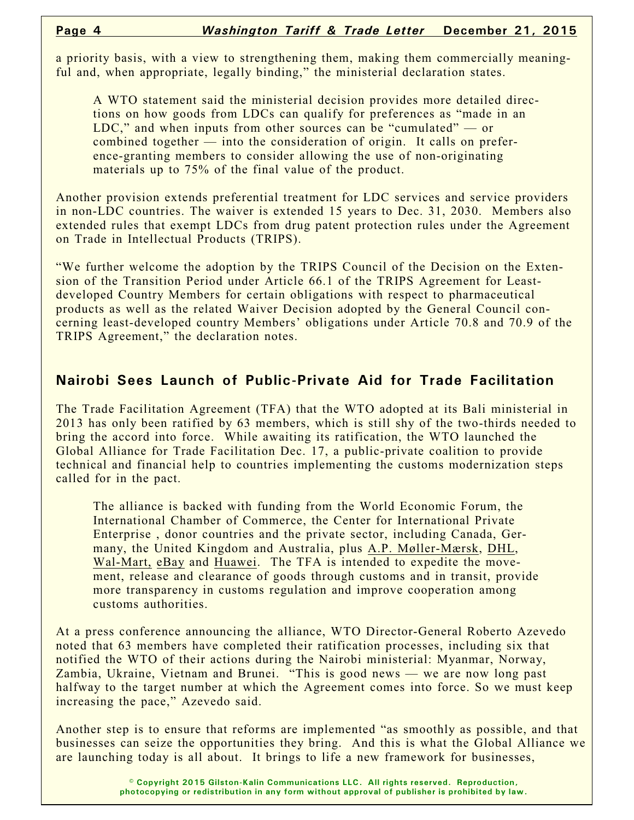a priority basis, with a view to strengthening them, making them commercially meaningful and, when appropriate, legally binding," the ministerial declaration states.

A WTO statement said the ministerial decision provides more detailed directions on how goods from LDCs can qualify for preferences as "made in an LDC," and when inputs from other sources can be "cumulated" — or combined together — into the consideration of origin. It calls on preference-granting members to consider allowing the use of non-originating materials up to 75% of the final value of the product.

Another provision extends preferential treatment for LDC services and service providers in non-LDC countries. The waiver is extended 15 years to Dec. 31, 2030. Members also extended rules that exempt LDCs from drug patent protection rules under the Agreement on Trade in Intellectual Products (TRIPS).

"We further welcome the adoption by the TRIPS Council of the Decision on the Extension of the Transition Period under Article 66.1 of the TRIPS Agreement for Leastdeveloped Country Members for certain obligations with respect to pharmaceutical products as well as the related Waiver Decision adopted by the General Council concerning least-developed country Members' obligations under Article 70.8 and 70.9 of the TRIPS Agreement," the declaration notes.

# **Nairobi Sees Launch of Public-Private Aid for Trade Facilitation**

The Trade Facilitation Agreement (TFA) that the WTO adopted at its Bali ministerial in 2013 has only been ratified by 63 members, which is still shy of the two-thirds needed to bring the accord into force. While awaiting its ratification, the WTO launched the Global Alliance for Trade Facilitation Dec. 17, a public-private coalition to provide technical and financial help to countries implementing the customs modernization steps called for in the pact.

The alliance is backed with funding from the World Economic Forum, the International Chamber of Commerce, the Center for International Private Enterprise , donor countries and the private sector, including Canada, Germany, the United Kingdom and Australia, plus A.P. Møller-Mærsk, DHL, Wal-Mart, eBay and Huawei. The TFA is intended to expedite the movement, release and clearance of goods through customs and in transit, provide more transparency in customs regulation and improve cooperation among customs authorities.

At a press conference announcing the alliance, WTO Director-General Roberto Azevedo noted that 63 members have completed their ratification processes, including six that notified the WTO of their actions during the Nairobi ministerial: Myanmar, Norway, Zambia, Ukraine, Vietnam and Brunei. "This is good news — we are now long past halfway to the target number at which the Agreement comes into force. So we must keep increasing the pace," Azevedo said.

Another step is to ensure that reforms are implemented "as smoothly as possible, and that businesses can seize the opportunities they bring. And this is what the Global Alliance we are launching today is all about. It brings to life a new framework for businesses,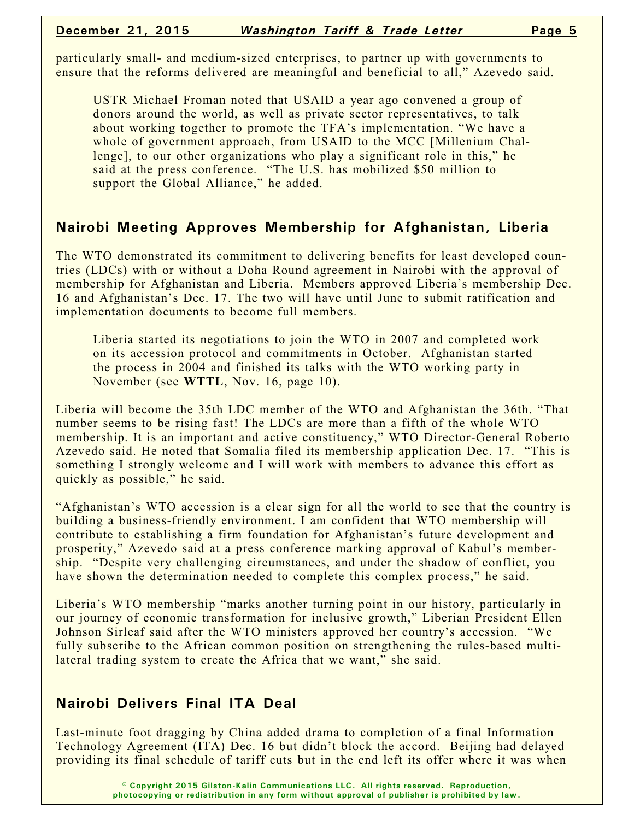particularly small- and medium-sized enterprises, to partner up with governments to ensure that the reforms delivered are meaningful and beneficial to all," Azevedo said.

USTR Michael Froman noted that USAID a year ago convened a group of donors around the world, as well as private sector representatives, to talk about working together to promote the TFA's implementation. "We have a whole of government approach, from USAID to the MCC [Millenium Challenge], to our other organizations who play a significant role in this," he said at the press conference. "The U.S. has mobilized \$50 million to support the Global Alliance," he added.

#### **Nairobi Meeting Approves Membership for Afghanistan, Liberia**

The WTO demonstrated its commitment to delivering benefits for least developed countries (LDCs) with or without a Doha Round agreement in Nairobi with the approval of membership for Afghanistan and Liberia. Members approved Liberia's membership Dec. 16 and Afghanistan's Dec. 17. The two will have until June to submit ratification and implementation documents to become full members.

Liberia started its negotiations to join the WTO in 2007 and completed work on its accession protocol and commitments in October. Afghanistan started the process in 2004 and finished its talks with the WTO working party in November (see **WTTL**, Nov. 16, page 10).

Liberia will become the 35th LDC member of the WTO and Afghanistan the 36th. "That number seems to be rising fast! The LDCs are more than a fifth of the whole WTO membership. It is an important and active constituency," WTO Director-General Roberto Azevedo said. He noted that Somalia filed its membership application Dec. 17. "This is something I strongly welcome and I will work with members to advance this effort as quickly as possible," he said.

"Afghanistan's WTO accession is a clear sign for all the world to see that the country is building a business-friendly environment. I am confident that WTO membership will contribute to establishing a firm foundation for Afghanistan's future development and prosperity," Azevedo said at a press conference marking approval of Kabul's membership. "Despite very challenging circumstances, and under the shadow of conflict, you have shown the determination needed to complete this complex process," he said.

Liberia's WTO membership "marks another turning point in our history, particularly in our journey of economic transformation for inclusive growth," Liberian President Ellen Johnson Sirleaf said after the WTO ministers approved her country's accession. "We fully subscribe to the African common position on strengthening the rules-based multilateral trading system to create the Africa that we want," she said.

# **Nairobi Delivers Final ITA Deal**

Last-minute foot dragging by China added drama to completion of a final Information Technology Agreement (ITA) Dec. 16 but didn't block the accord. Beijing had delayed providing its final schedule of tariff cuts but in the end left its offer where it was when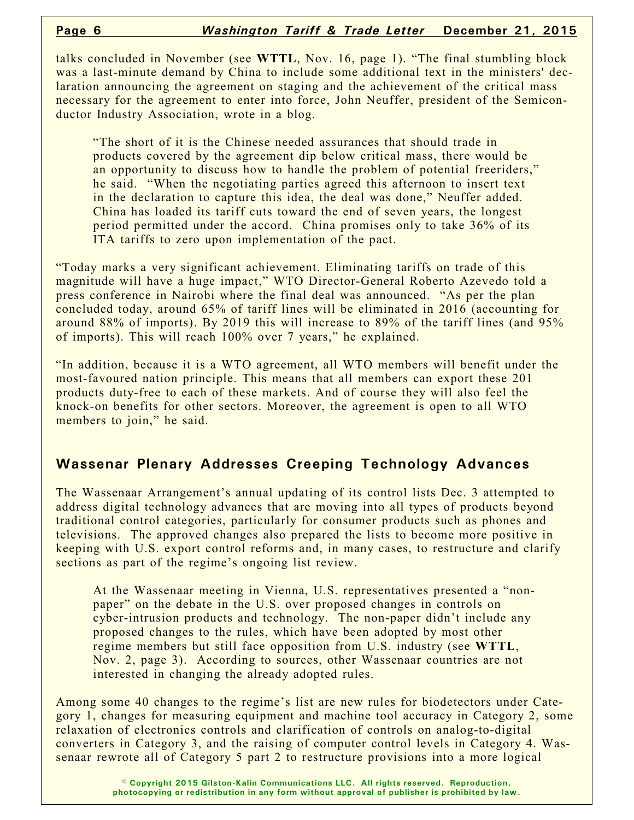talks concluded in November (see **WTTL**, Nov. 16, page 1). "The final stumbling block was a last-minute demand by China to include some additional text in the ministers' declaration announcing the agreement on staging and the achievement of the critical mass necessary for the agreement to enter into force, John Neuffer, president of the Semiconductor Industry Association, wrote in a blog.

"The short of it is the Chinese needed assurances that should trade in products covered by the agreement dip below critical mass, there would be an opportunity to discuss how to handle the problem of potential freeriders," he said. "When the negotiating parties agreed this afternoon to insert text in the declaration to capture this idea, the deal was done," Neuffer added. China has loaded its tariff cuts toward the end of seven years, the longest period permitted under the accord. China promises only to take 36% of its ITA tariffs to zero upon implementation of the pact.

"Today marks a very significant achievement. Eliminating tariffs on trade of this magnitude will have a huge impact," WTO Director-General Roberto Azevedo told a press conference in Nairobi where the final deal was announced. "As per the plan concluded today, around 65% of tariff lines will be eliminated in 2016 (accounting for around 88% of imports). By 2019 this will increase to 89% of the tariff lines (and 95% of imports). This will reach 100% over 7 years," he explained.

"In addition, because it is a WTO agreement, all WTO members will benefit under the most-favoured nation principle. This means that all members can export these 201 products duty-free to each of these markets. And of course they will also feel the knock-on benefits for other sectors. Moreover, the agreement is open to all WTO members to join," he said.

#### **Wassenar Plenary Addresses Creeping Technology Advances**

The Wassenaar Arrangement's annual updating of its control lists Dec. 3 attempted to address digital technology advances that are moving into all types of products beyond traditional control categories, particularly for consumer products such as phones and televisions. The approved changes also prepared the lists to become more positive in keeping with U.S. export control reforms and, in many cases, to restructure and clarify sections as part of the regime's ongoing list review.

At the Wassenaar meeting in Vienna, U.S. representatives presented a "nonpaper" on the debate in the U.S. over proposed changes in controls on cyber-intrusion products and technology. The non-paper didn't include any proposed changes to the rules, which have been adopted by most other regime members but still face opposition from U.S. industry (see **WTTL**, Nov. 2, page 3). According to sources, other Wassenaar countries are not interested in changing the already adopted rules.

Among some 40 changes to the regime's list are new rules for biodetectors under Category 1, changes for measuring equipment and machine tool accuracy in Category 2, some relaxation of electronics controls and clarification of controls on analog-to-digital converters in Category 3, and the raising of computer control levels in Category 4. Wassenaar rewrote all of Category 5 part 2 to restructure provisions into a more logical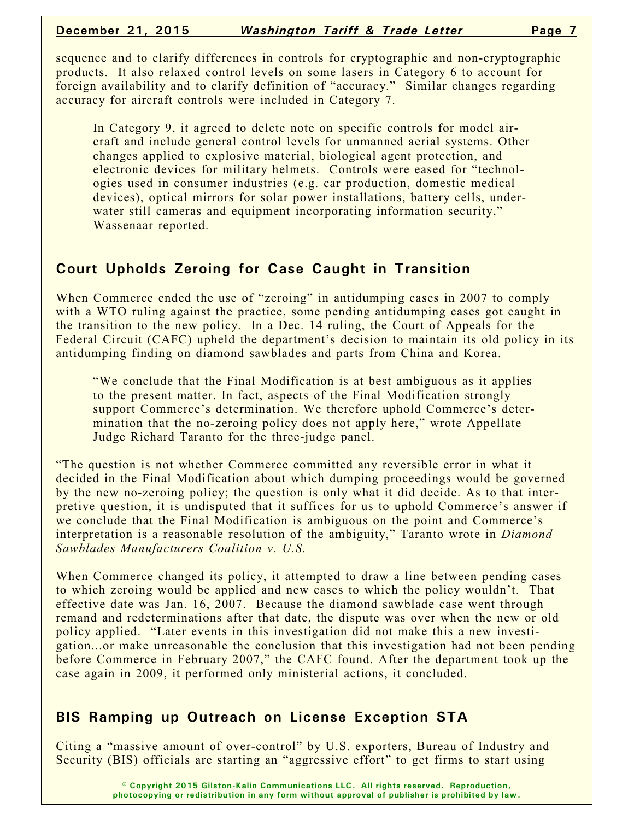sequence and to clarify differences in controls for cryptographic and non-cryptographic products. It also relaxed control levels on some lasers in Category 6 to account for foreign availability and to clarify definition of "accuracy." Similar changes regarding accuracy for aircraft controls were included in Category 7.

In Category 9, it agreed to delete note on specific controls for model aircraft and include general control levels for unmanned aerial systems. Other changes applied to explosive material, biological agent protection, and electronic devices for military helmets. Controls were eased for "technologies used in consumer industries (e.g. car production, domestic medical devices), optical mirrors for solar power installations, battery cells, underwater still cameras and equipment incorporating information security," Wassenaar reported.

# **Court Upholds Zeroing for Case Caught in Transition**

When Commerce ended the use of "zeroing" in antidumping cases in 2007 to comply with a WTO ruling against the practice, some pending antidumping cases got caught in the transition to the new policy. In a Dec. 14 ruling, the Court of Appeals for the Federal Circuit (CAFC) upheld the department's decision to maintain its old policy in its antidumping finding on diamond sawblades and parts from China and Korea.

"We conclude that the Final Modification is at best ambiguous as it applies to the present matter. In fact, aspects of the Final Modification strongly support Commerce's determination. We therefore uphold Commerce's determination that the no-zeroing policy does not apply here," wrote Appellate Judge Richard Taranto for the three-judge panel.

"The question is not whether Commerce committed any reversible error in what it decided in the Final Modification about which dumping proceedings would be governed by the new no-zeroing policy; the question is only what it did decide. As to that interpretive question, it is undisputed that it suffices for us to uphold Commerce's answer if we conclude that the Final Modification is ambiguous on the point and Commerce's interpretation is a reasonable resolution of the ambiguity," Taranto wrote in *Diamond Sawblades Manufacturers Coalition v. U.S.*

When Commerce changed its policy, it attempted to draw a line between pending cases to which zeroing would be applied and new cases to which the policy wouldn't. That effective date was Jan. 16, 2007. Because the diamond sawblade case went through remand and redeterminations after that date, the dispute was over when the new or old policy applied. "Later events in this investigation did not make this a new investigation...or make unreasonable the conclusion that this investigation had not been pending before Commerce in February 2007," the CAFC found. After the department took up the case again in 2009, it performed only ministerial actions, it concluded.

#### **BIS Ramping up Outreach on License Exception STA**

Citing a "massive amount of over-control" by U.S. exporters, Bureau of Industry and Security (BIS) officials are starting an "aggressive effort" to get firms to start using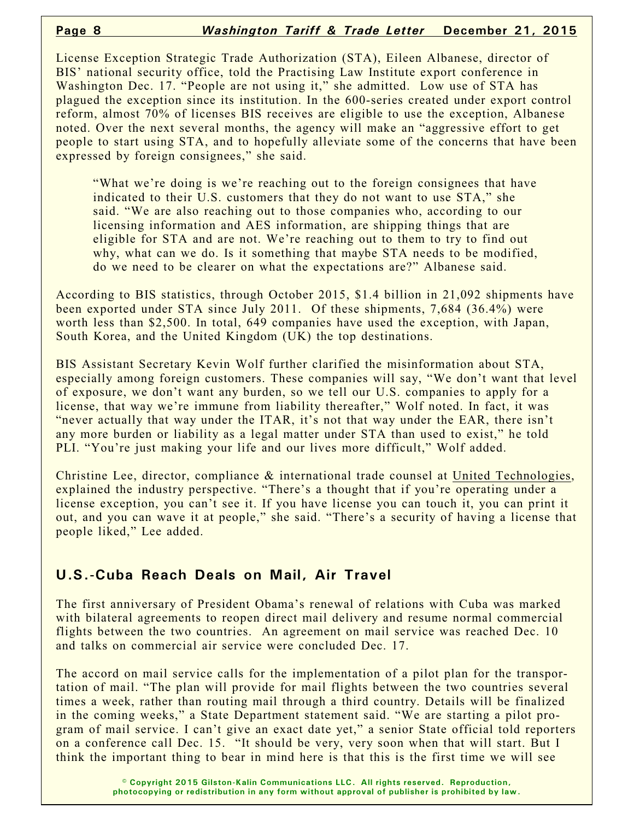License Exception Strategic Trade Authorization (STA), Eileen Albanese, director of BIS' national security office, told the Practising Law Institute export conference in Washington Dec. 17. "People are not using it," she admitted. Low use of STA has plagued the exception since its institution. In the 600-series created under export control reform, almost 70% of licenses BIS receives are eligible to use the exception, Albanese noted. Over the next several months, the agency will make an "aggressive effort to get people to start using STA, and to hopefully alleviate some of the concerns that have been expressed by foreign consignees," she said.

"What we're doing is we're reaching out to the foreign consignees that have indicated to their U.S. customers that they do not want to use STA," she said. "We are also reaching out to those companies who, according to our licensing information and AES information, are shipping things that are eligible for STA and are not. We're reaching out to them to try to find out why, what can we do. Is it something that maybe STA needs to be modified, do we need to be clearer on what the expectations are?" Albanese said.

According to BIS statistics, through October 2015, \$1.4 billion in 21,092 shipments have been exported under STA since July 2011. Of these shipments, 7,684 (36.4%) were worth less than \$2,500. In total, 649 companies have used the exception, with Japan, South Korea, and the United Kingdom (UK) the top destinations.

BIS Assistant Secretary Kevin Wolf further clarified the misinformation about STA, especially among foreign customers. These companies will say, "We don't want that level of exposure, we don't want any burden, so we tell our U.S. companies to apply for a license, that way we're immune from liability thereafter," Wolf noted. In fact, it was "never actually that way under the ITAR, it's not that way under the EAR, there isn't any more burden or liability as a legal matter under STA than used to exist," he told PLI. "You're just making your life and our lives more difficult," Wolf added.

Christine Lee, director, compliance & international trade counsel at United Technologies, explained the industry perspective. "There's a thought that if you're operating under a license exception, you can't see it. If you have license you can touch it, you can print it out, and you can wave it at people," she said. "There's a security of having a license that people liked," Lee added.

#### **U.S.-Cuba Reach Deals on Mail, Air Travel**

The first anniversary of President Obama's renewal of relations with Cuba was marked with bilateral agreements to reopen direct mail delivery and resume normal commercial flights between the two countries. An agreement on mail service was reached Dec. 10 and talks on commercial air service were concluded Dec. 17.

The accord on mail service calls for the implementation of a pilot plan for the transportation of mail. "The plan will provide for mail flights between the two countries several times a week, rather than routing mail through a third country. Details will be finalized in the coming weeks," a State Department statement said. "We are starting a pilot program of mail service. I can't give an exact date yet," a senior State official told reporters on a conference call Dec. 15. "It should be very, very soon when that will start. But I think the important thing to bear in mind here is that this is the first time we will see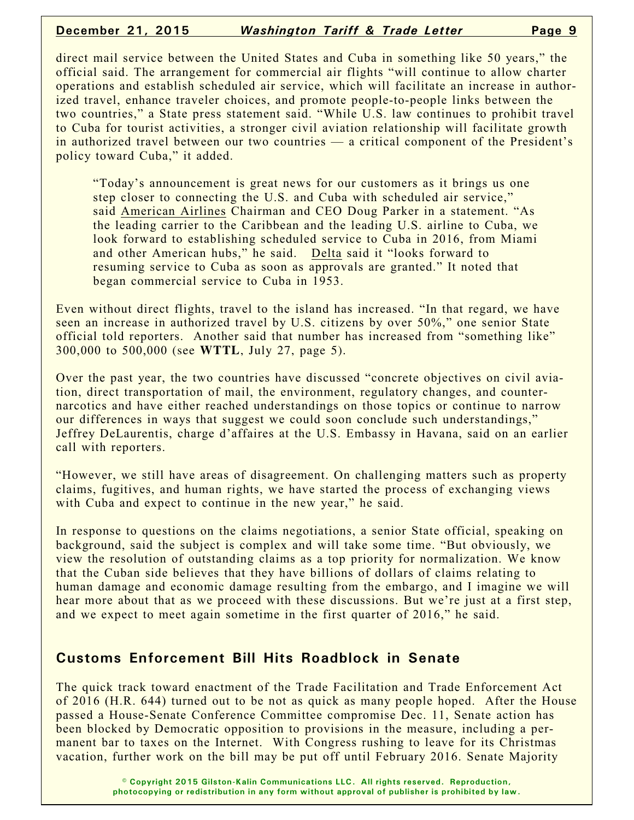#### **December 21, 2015** *Washington Tariff & Trade Letter* **Page 9**

direct mail service between the United States and Cuba in something like 50 years," the official said. The arrangement for commercial air flights "will continue to allow charter operations and establish scheduled air service, which will facilitate an increase in authorized travel, enhance traveler choices, and promote people-to-people links between the two countries," a State press statement said. "While U.S. law continues to prohibit travel to Cuba for tourist activities, a stronger civil aviation relationship will facilitate growth in authorized travel between our two countries — a critical component of the President's policy toward Cuba," it added.

"Today's announcement is great news for our customers as it brings us one step closer to connecting the U.S. and Cuba with scheduled air service," said American Airlines Chairman and CEO Doug Parker in a statement. "As the leading carrier to the Caribbean and the leading U.S. airline to Cuba, we look forward to establishing scheduled service to Cuba in 2016, from Miami and other American hubs," he said. Delta said it "looks forward to resuming service to Cuba as soon as approvals are granted." It noted that began commercial service to Cuba in 1953.

Even without direct flights, travel to the island has increased. "In that regard, we have seen an increase in authorized travel by U.S. citizens by over 50%," one senior State official told reporters. Another said that number has increased from "something like" 300,000 to 500,000 (see **WTTL**, July 27, page 5).

Over the past year, the two countries have discussed "concrete objectives on civil aviation, direct transportation of mail, the environment, regulatory changes, and counternarcotics and have either reached understandings on those topics or continue to narrow our differences in ways that suggest we could soon conclude such understandings," Jeffrey DeLaurentis, charge d'affaires at the U.S. Embassy in Havana, said on an earlier call with reporters.

"However, we still have areas of disagreement. On challenging matters such as property claims, fugitives, and human rights, we have started the process of exchanging views with Cuba and expect to continue in the new year," he said.

In response to questions on the claims negotiations, a senior State official, speaking on background, said the subject is complex and will take some time. "But obviously, we view the resolution of outstanding claims as a top priority for normalization. We know that the Cuban side believes that they have billions of dollars of claims relating to human damage and economic damage resulting from the embargo, and I imagine we will hear more about that as we proceed with these discussions. But we're just at a first step, and we expect to meet again sometime in the first quarter of 2016," he said.

#### **Customs Enforcement Bill Hits Roadblock in Senate**

The quick track toward enactment of the Trade Facilitation and Trade Enforcement Act of 2016 (H.R. 644) turned out to be not as quick as many people hoped. After the House passed a House-Senate Conference Committee compromise Dec. 11, Senate action has been blocked by Democratic opposition to provisions in the measure, including a permanent bar to taxes on the Internet. With Congress rushing to leave for its Christmas vacation, further work on the bill may be put off until February 2016. Senate Majority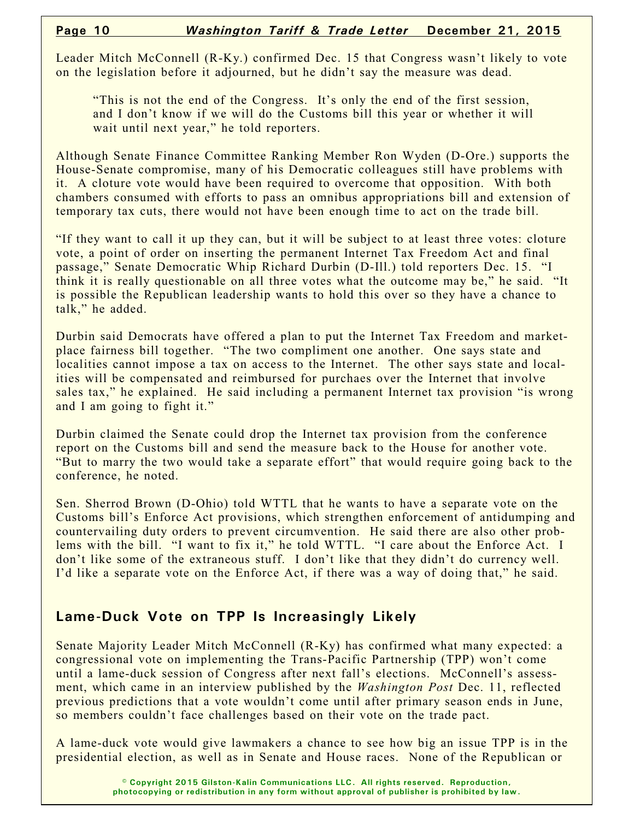Leader Mitch McConnell (R-Ky.) confirmed Dec. 15 that Congress wasn't likely to vote on the legislation before it adjourned, but he didn't say the measure was dead.

"This is not the end of the Congress. It's only the end of the first session, and I don't know if we will do the Customs bill this year or whether it will wait until next year," he told reporters.

Although Senate Finance Committee Ranking Member Ron Wyden (D-Ore.) supports the House-Senate compromise, many of his Democratic colleagues still have problems with it. A cloture vote would have been required to overcome that opposition. With both chambers consumed with efforts to pass an omnibus appropriations bill and extension of temporary tax cuts, there would not have been enough time to act on the trade bill.

"If they want to call it up they can, but it will be subject to at least three votes: cloture vote, a point of order on inserting the permanent Internet Tax Freedom Act and final passage," Senate Democratic Whip Richard Durbin (D-Ill.) told reporters Dec. 15. "I think it is really questionable on all three votes what the outcome may be," he said. "It is possible the Republican leadership wants to hold this over so they have a chance to talk," he added.

Durbin said Democrats have offered a plan to put the Internet Tax Freedom and marketplace fairness bill together. "The two compliment one another. One says state and localities cannot impose a tax on access to the Internet. The other says state and localities will be compensated and reimbursed for purchaes over the Internet that involve sales tax," he explained. He said including a permanent Internet tax provision "is wrong and I am going to fight it."

Durbin claimed the Senate could drop the Internet tax provision from the conference report on the Customs bill and send the measure back to the House for another vote. "But to marry the two would take a separate effort" that would require going back to the conference, he noted.

Sen. Sherrod Brown (D-Ohio) told WTTL that he wants to have a separate vote on the Customs bill's Enforce Act provisions, which strengthen enforcement of antidumping and countervailing duty orders to prevent circumvention. He said there are also other problems with the bill. "I want to fix it," he told WTTL. "I care about the Enforce Act. I don't like some of the extraneous stuff. I don't like that they didn't do currency well. I'd like a separate vote on the Enforce Act, if there was a way of doing that," he said.

# **Lame-Duck Vote on TPP Is Increasingly Likely**

Senate Majority Leader Mitch McConnell (R-Ky) has confirmed what many expected: a congressional vote on implementing the Trans-Pacific Partnership (TPP) won't come until a lame-duck session of Congress after next fall's elections. McConnell's assessment, which came in an interview published by the *Washington Post* Dec. 11, reflected previous predictions that a vote wouldn't come until after primary season ends in June, so members couldn't face challenges based on their vote on the trade pact.

A lame-duck vote would give lawmakers a chance to see how big an issue TPP is in the presidential election, as well as in Senate and House races. None of the Republican or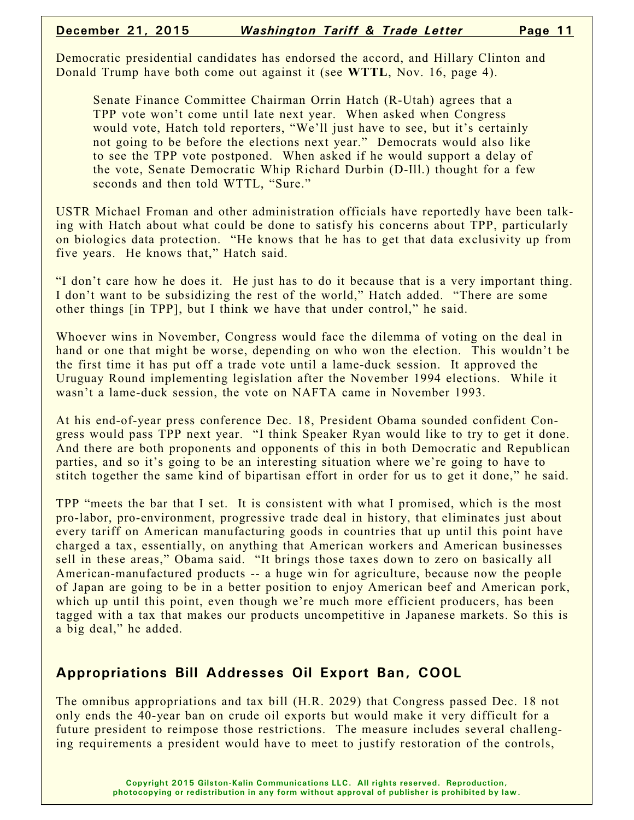Democratic presidential candidates has endorsed the accord, and Hillary Clinton and Donald Trump have both come out against it (see **WTTL**, Nov. 16, page 4).

Senate Finance Committee Chairman Orrin Hatch (R-Utah) agrees that a TPP vote won't come until late next year. When asked when Congress would vote, Hatch told reporters, "We'll just have to see, but it's certainly not going to be before the elections next year." Democrats would also like to see the TPP vote postponed. When asked if he would support a delay of the vote, Senate Democratic Whip Richard Durbin (D-Ill.) thought for a few seconds and then told WTTL, "Sure."

USTR Michael Froman and other administration officials have reportedly have been talking with Hatch about what could be done to satisfy his concerns about TPP, particularly on biologics data protection. "He knows that he has to get that data exclusivity up from five years. He knows that," Hatch said.

"I don't care how he does it. He just has to do it because that is a very important thing. I don't want to be subsidizing the rest of the world," Hatch added. "There are some other things [in TPP], but I think we have that under control," he said.

Whoever wins in November, Congress would face the dilemma of voting on the deal in hand or one that might be worse, depending on who won the election. This wouldn't be the first time it has put off a trade vote until a lame-duck session. It approved the Uruguay Round implementing legislation after the November 1994 elections. While it wasn't a lame-duck session, the vote on NAFTA came in November 1993.

At his end-of-year press conference Dec. 18, President Obama sounded confident Congress would pass TPP next year. "I think Speaker Ryan would like to try to get it done. And there are both proponents and opponents of this in both Democratic and Republican parties, and so it's going to be an interesting situation where we're going to have to stitch together the same kind of bipartisan effort in order for us to get it done," he said.

TPP "meets the bar that I set. It is consistent with what I promised, which is the most pro-labor, pro-environment, progressive trade deal in history, that eliminates just about every tariff on American manufacturing goods in countries that up until this point have charged a tax, essentially, on anything that American workers and American businesses sell in these areas," Obama said. "It brings those taxes down to zero on basically all American-manufactured products -- a huge win for agriculture, because now the people of Japan are going to be in a better position to enjoy American beef and American pork, which up until this point, even though we're much more efficient producers, has been tagged with a tax that makes our products uncompetitive in Japanese markets. So this is a big deal," he added.

#### **Appropriations Bill Addresses Oil Export Ban, COOL**

The omnibus appropriations and tax bill (H.R. 2029) that Congress passed Dec. 18 not only ends the 40-year ban on crude oil exports but would make it very difficult for a future president to reimpose those restrictions. The measure includes several challenging requirements a president would have to meet to justify restoration of the controls,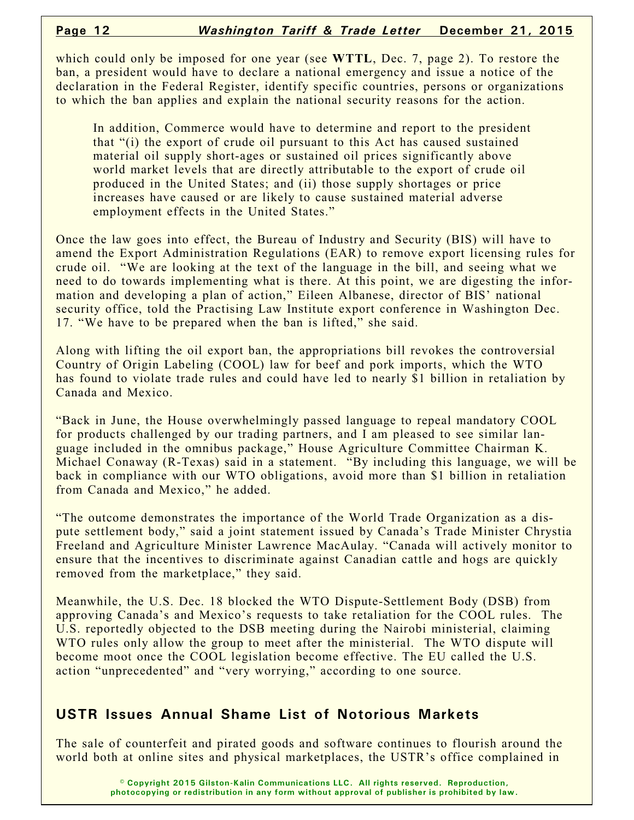which could only be imposed for one year (see **WTTL**, Dec. 7, page 2). To restore the ban, a president would have to declare a national emergency and issue a notice of the declaration in the Federal Register, identify specific countries, persons or organizations to which the ban applies and explain the national security reasons for the action.

In addition, Commerce would have to determine and report to the president that "(i) the export of crude oil pursuant to this Act has caused sustained material oil supply short-ages or sustained oil prices significantly above world market levels that are directly attributable to the export of crude oil produced in the United States; and (ii) those supply shortages or price increases have caused or are likely to cause sustained material adverse employment effects in the United States."

Once the law goes into effect, the Bureau of Industry and Security (BIS) will have to amend the Export Administration Regulations (EAR) to remove export licensing rules for crude oil. "We are looking at the text of the language in the bill, and seeing what we need to do towards implementing what is there. At this point, we are digesting the information and developing a plan of action," Eileen Albanese, director of BIS' national security office, told the Practising Law Institute export conference in Washington Dec. 17. "We have to be prepared when the ban is lifted," she said.

Along with lifting the oil export ban, the appropriations bill revokes the controversial Country of Origin Labeling (COOL) law for beef and pork imports, which the WTO has found to violate trade rules and could have led to nearly \$1 billion in retaliation by Canada and Mexico.

"Back in June, the House overwhelmingly passed language to repeal mandatory COOL for products challenged by our trading partners, and I am pleased to see similar language included in the omnibus package," House Agriculture Committee Chairman K. Michael Conaway (R-Texas) said in a statement. "By including this language, we will be back in compliance with our WTO obligations, avoid more than \$1 billion in retaliation from Canada and Mexico," he added.

"The outcome demonstrates the importance of the World Trade Organization as a dispute settlement body," said a joint statement issued by Canada's Trade Minister Chrystia Freeland and Agriculture Minister Lawrence MacAulay. "Canada will actively monitor to ensure that the incentives to discriminate against Canadian cattle and hogs are quickly removed from the marketplace," they said.

Meanwhile, the U.S. Dec. 18 blocked the WTO Dispute-Settlement Body (DSB) from approving Canada's and Mexico's requests to take retaliation for the COOL rules. The U.S. reportedly objected to the DSB meeting during the Nairobi ministerial, claiming WTO rules only allow the group to meet after the ministerial. The WTO dispute will become moot once the COOL legislation become effective. The EU called the U.S. action "unprecedented" and "very worrying," according to one source.

#### **USTR Issues Annual Shame List of Notorious Markets**

The sale of counterfeit and pirated goods and software continues to flourish around the world both at online sites and physical marketplaces, the USTR's office complained in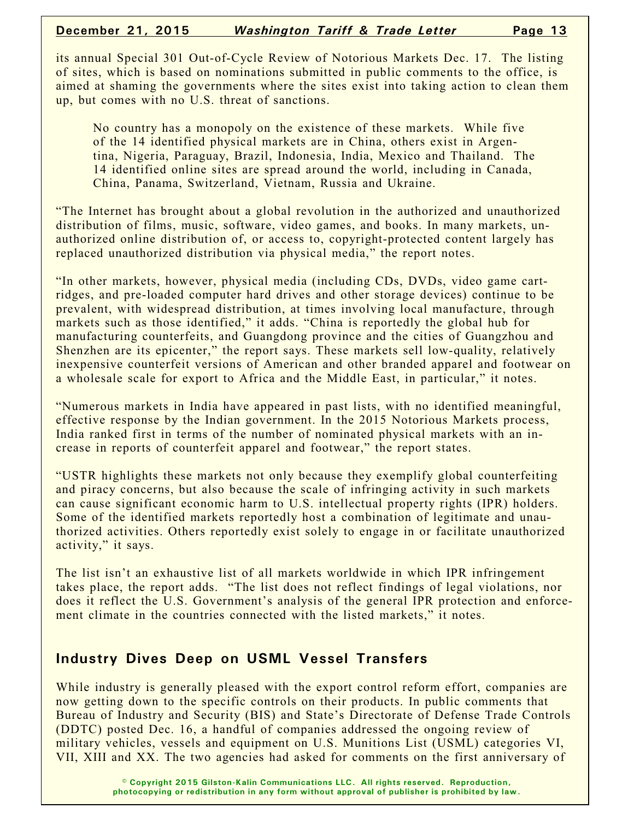its annual Special 301 Out-of-Cycle Review of Notorious Markets Dec. 17. The listing of sites, which is based on nominations submitted in public comments to the office, is aimed at shaming the governments where the sites exist into taking action to clean them up, but comes with no U.S. threat of sanctions.

No country has a monopoly on the existence of these markets. While five of the 14 identified physical markets are in China, others exist in Argentina, Nigeria, Paraguay, Brazil, Indonesia, India, Mexico and Thailand. The 14 identified online sites are spread around the world, including in Canada, China, Panama, Switzerland, Vietnam, Russia and Ukraine.

"The Internet has brought about a global revolution in the authorized and unauthorized distribution of films, music, software, video games, and books. In many markets, unauthorized online distribution of, or access to, copyright-protected content largely has replaced unauthorized distribution via physical media," the report notes.

"In other markets, however, physical media (including CDs, DVDs, video game cartridges, and pre-loaded computer hard drives and other storage devices) continue to be prevalent, with widespread distribution, at times involving local manufacture, through markets such as those identified," it adds. "China is reportedly the global hub for manufacturing counterfeits, and Guangdong province and the cities of Guangzhou and Shenzhen are its epicenter," the report says. These markets sell low-quality, relatively inexpensive counterfeit versions of American and other branded apparel and footwear on a wholesale scale for export to Africa and the Middle East, in particular," it notes.

"Numerous markets in India have appeared in past lists, with no identified meaningful, effective response by the Indian government. In the 2015 Notorious Markets process, India ranked first in terms of the number of nominated physical markets with an increase in reports of counterfeit apparel and footwear," the report states.

"USTR highlights these markets not only because they exemplify global counterfeiting and piracy concerns, but also because the scale of infringing activity in such markets can cause significant economic harm to U.S. intellectual property rights (IPR) holders. Some of the identified markets reportedly host a combination of legitimate and unauthorized activities. Others reportedly exist solely to engage in or facilitate unauthorized activity," it says.

The list isn't an exhaustive list of all markets worldwide in which IPR infringement takes place, the report adds. "The list does not reflect findings of legal violations, nor does it reflect the U.S. Government's analysis of the general IPR protection and enforcement climate in the countries connected with the listed markets," it notes.

#### **Industry Dives Deep on USML Vessel Transfers**

While industry is generally pleased with the export control reform effort, companies are now getting down to the specific controls on their products. In public comments that Bureau of Industry and Security (BIS) and State's Directorate of Defense Trade Controls (DDTC) posted Dec. 16, a handful of companies addressed the ongoing review of military vehicles, vessels and equipment on U.S. Munitions List (USML) categories VI, VII, XIII and XX. The two agencies had asked for comments on the first anniversary of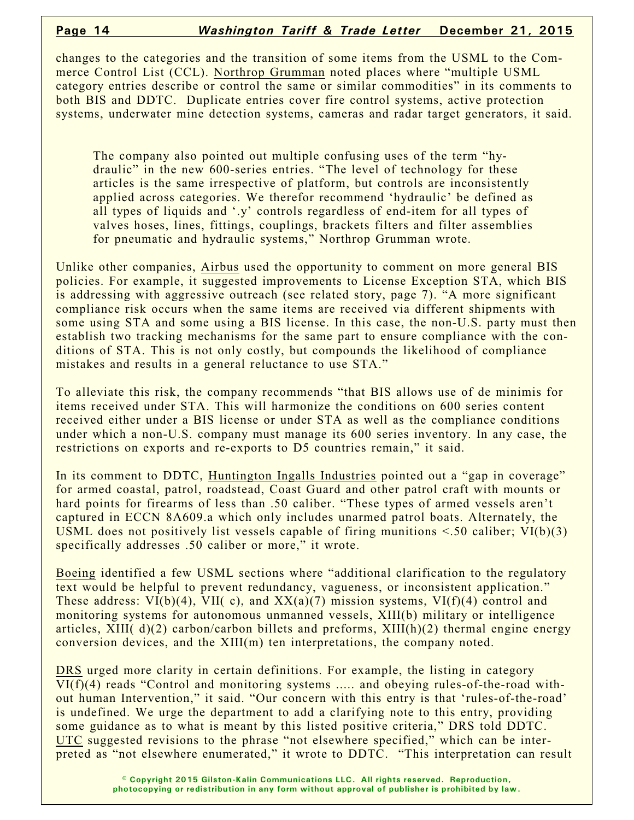changes to the categories and the transition of some items from the USML to the Commerce Control List (CCL). Northrop Grumman noted places where "multiple USML category entries describe or control the same or similar commodities" in its comments to both BIS and DDTC. Duplicate entries cover fire control systems, active protection systems, underwater mine detection systems, cameras and radar target generators, it said.

The company also pointed out multiple confusing uses of the term "hydraulic" in the new 600-series entries. "The level of technology for these articles is the same irrespective of platform, but controls are inconsistently applied across categories. We therefor recommend 'hydraulic' be defined as all types of liquids and '.y' controls regardless of end-item for all types of valves hoses, lines, fittings, couplings, brackets filters and filter assemblies for pneumatic and hydraulic systems," Northrop Grumman wrote.

Unlike other companies, Airbus used the opportunity to comment on more general BIS policies. For example, it suggested improvements to License Exception STA, which BIS is addressing with aggressive outreach (see related story, page 7). "A more significant compliance risk occurs when the same items are received via different shipments with some using STA and some using a BIS license. In this case, the non-U.S. party must then establish two tracking mechanisms for the same part to ensure compliance with the conditions of STA. This is not only costly, but compounds the likelihood of compliance mistakes and results in a general reluctance to use STA."

To alleviate this risk, the company recommends "that BIS allows use of de minimis for items received under STA. This will harmonize the conditions on 600 series content received either under a BIS license or under STA as well as the compliance conditions under which a non-U.S. company must manage its 600 series inventory. In any case, the restrictions on exports and re-exports to D5 countries remain," it said.

In its comment to DDTC, Huntington Ingalls Industries pointed out a "gap in coverage" for armed coastal, patrol, roadstead, Coast Guard and other patrol craft with mounts or hard points for firearms of less than .50 caliber. "These types of armed vessels aren't captured in ECCN 8A609.a which only includes unarmed patrol boats. Alternately, the USML does not positively list vessels capable of firing munitions  $\leq 50$  caliber; VI(b)(3) specifically addresses .50 caliber or more," it wrote.

Boeing identified a few USML sections where "additional clarification to the regulatory text would be helpful to prevent redundancy, vagueness, or inconsistent application." These address:  $VI(b)(4)$ ,  $VII(c)$ , and  $XX(a)(7)$  mission systems,  $VI(f)(4)$  control and monitoring systems for autonomous unmanned vessels, XIII(b) military or intelligence articles, XIII( d)(2) carbon/carbon billets and preforms, XIII(h)(2) thermal engine energy conversion devices, and the XIII(m) ten interpretations, the company noted.

DRS urged more clarity in certain definitions. For example, the listing in category VI(f)(4) reads "Control and monitoring systems ..... and obeying rules-of-the-road without human Intervention," it said. "Our concern with this entry is that 'rules-of-the-road' is undefined. We urge the department to add a clarifying note to this entry, providing some guidance as to what is meant by this listed positive criteria," DRS told DDTC. UTC suggested revisions to the phrase "not elsewhere specified," which can be interpreted as "not elsewhere enumerated," it wrote to DDTC. "This interpretation can result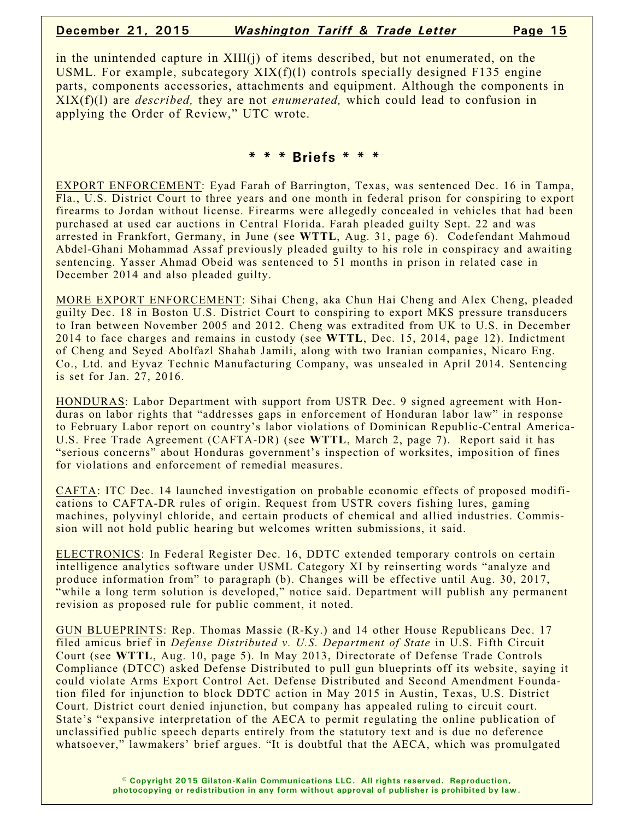#### **December 21, 2015** *Washington Tariff & Trade Letter* **Page 15**

in the unintended capture in  $XIII(i)$  of items described, but not enumerated, on the USML. For example, subcategory XIX(f)(l) controls specially designed F135 engine parts, components accessories, attachments and equipment. Although the components in XIX(f)(l) are *described,* they are not *enumerated,* which could lead to confusion in applying the Order of Review," UTC wrote.

#### **\* \* \* Briefs \* \* \***

EXPORT ENFORCEMENT: Eyad Farah of Barrington, Texas, was sentenced Dec. 16 in Tampa, Fla., U.S. District Court to three years and one month in federal prison for conspiring to export firearms to Jordan without license. Firearms were allegedly concealed in vehicles that had been purchased at used car auctions in Central Florida. Farah pleaded guilty Sept. 22 and was arrested in Frankfort, Germany, in June (see **WTTL**, Aug. 31, page 6). Codefendant Mahmoud Abdel-Ghani Mohammad Assaf previously pleaded guilty to his role in conspiracy and awaiting sentencing. Yasser Ahmad Obeid was sentenced to 51 months in prison in related case in December 2014 and also pleaded guilty.

MORE EXPORT ENFORCEMENT: Sihai Cheng, aka Chun Hai Cheng and Alex Cheng, pleaded guilty Dec. 18 in Boston U.S. District Court to conspiring to export MKS pressure transducers to Iran between November 2005 and 2012. Cheng was extradited from UK to U.S. in December 2014 to face charges and remains in custody (see **WTTL**, Dec. 15, 2014, page 12). Indictment of Cheng and Seyed Abolfazl Shahab Jamili, along with two Iranian companies, Nicaro Eng. Co., Ltd. and Eyvaz Technic Manufacturing Company, was unsealed in April 2014. Sentencing is set for Jan. 27, 2016.

HONDURAS: Labor Department with support from USTR Dec. 9 signed agreement with Honduras on labor rights that "addresses gaps in enforcement of Honduran labor law" in response to February Labor report on country's labor violations of Dominican Republic-Central America-U.S. Free Trade Agreement (CAFTA-DR) (see **WTTL**, March 2, page 7). Report said it has "serious concerns" about Honduras government's inspection of worksites, imposition of fines for violations and enforcement of remedial measures.

CAFTA: ITC Dec. 14 launched investigation on probable economic effects of proposed modifications to CAFTA-DR rules of origin. Request from USTR covers fishing lures, gaming machines, polyvinyl chloride, and certain products of chemical and allied industries. Commission will not hold public hearing but welcomes written submissions, it said.

ELECTRONICS: In Federal Register Dec. 16, DDTC extended temporary controls on certain intelligence analytics software under USML Category XI by reinserting words "analyze and produce information from" to paragraph (b). Changes will be effective until Aug. 30, 2017, "while a long term solution is developed," notice said. Department will publish any permanent revision as proposed rule for public comment, it noted.

GUN BLUEPRINTS: Rep. Thomas Massie (R-Ky.) and 14 other House Republicans Dec. 17 filed amicus brief in *Defense Distributed v. U.S. Department of State* in U.S. Fifth Circuit Court (see **WTTL**, Aug. 10, page 5). In May 2013, Directorate of Defense Trade Controls Compliance (DTCC) asked Defense Distributed to pull gun blueprints off its website, saying it could violate Arms Export Control Act. Defense Distributed and Second Amendment Foundation filed for injunction to block DDTC action in May 2015 in Austin, Texas, U.S. District Court. District court denied injunction, but company has appealed ruling to circuit court. State's "expansive interpretation of the AECA to permit regulating the online publication of unclassified public speech departs entirely from the statutory text and is due no deference whatsoever," lawmakers' brief argues. "It is doubtful that the AECA, which was promulgated